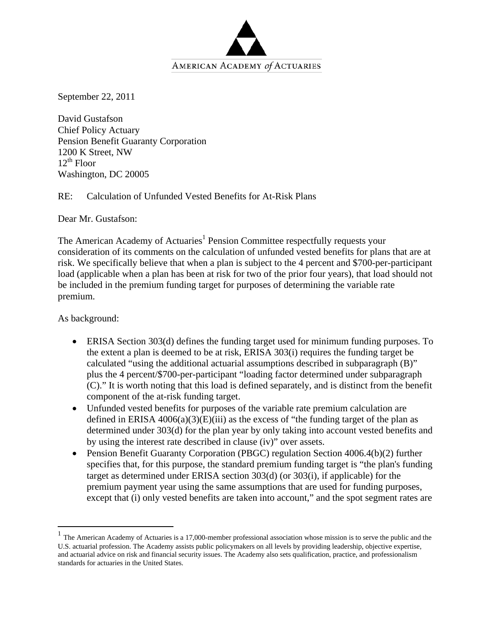

September 22, 2011

David Gustafson Chief Policy Actuary Pension Benefit Guaranty Corporation 1200 K Street, NW  $12^{th}$  Floor Washington, DC 20005

RE: Calculation of Unfunded Vested Benefits for At-Risk Plans

Dear Mr. Gustafson:

The American Academy of Actuaries<sup>1</sup> Pension Committee respectfully requests your consideration of its comments on the calculation of unfunded vested benefits for plans that are at risk. We specifically believe that when a plan is subject to the 4 percent and \$700-per-participant load (applicable when a plan has been at risk for two of the prior four years), that load should not be included in the premium funding target for purposes of determining the variable rate premium.

As background:

 $\overline{a}$ 

- ERISA Section 303(d) defines the funding target used for minimum funding purposes. To the extent a plan is deemed to be at risk, ERISA 303(i) requires the funding target be calculated "using the additional actuarial assumptions described in subparagraph (B)" plus the 4 percent/\$700-per-participant "loading factor determined under subparagraph (C)." It is worth noting that this load is defined separately, and is distinct from the benefit component of the at-risk funding target.
- Unfunded vested benefits for purposes of the variable rate premium calculation are defined in ERISA  $4006(a)(3)(E)(iii)$  as the excess of "the funding target of the plan as determined under 303(d) for the plan year by only taking into account vested benefits and by using the interest rate described in clause (iv)" over assets.
- Pension Benefit Guaranty Corporation (PBGC) regulation Section 4006.4(b)(2) further specifies that, for this purpose, the standard premium funding target is "the plan's funding target as determined under ERISA section 303(d) (or 303(i), if applicable) for the premium payment year using the same assumptions that are used for funding purposes, except that (i) only vested benefits are taken into account," and the spot segment rates are

<sup>1</sup> The American Academy of Actuaries is a 17,000-member professional association whose mission is to serve the public and the U.S. actuarial profession. The Academy assists public policymakers on all levels by providing leadership, objective expertise, and actuarial advice on risk and financial security issues. The Academy also sets qualification, practice, and professionalism standards for actuaries in the United States.